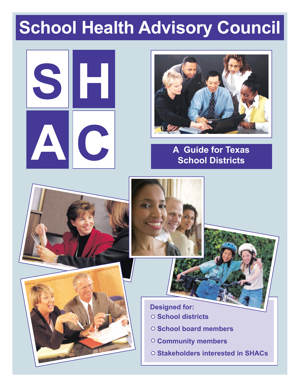# **School Health Advisory Council**









 **Designed for: School districts**

- **School board members**
- **Community members**
- **Stakeholders interested in SHACs**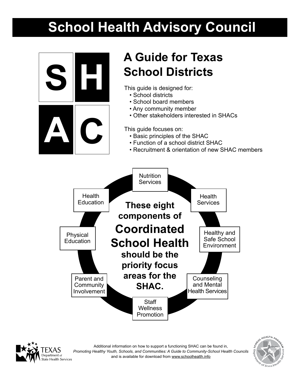# **School Health Advisory Council**







Additional information on how to support a functioning SHAC can be found in, *Promoting Healthy Youth, Schools, and Communities: A Guide to Community-School Health Councils* and is available for download from www.schoolhealth.info

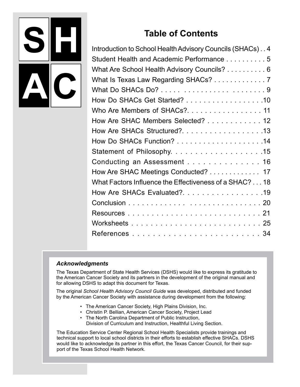

## **Table of Contents**

| Introduction to School Health Advisory Councils (SHACs)4 |
|----------------------------------------------------------|
| Student Health and Academic Performance 5                |
| What Are School Health Advisory Councils? 6              |
| What Is Texas Law Regarding SHACs? 7                     |
|                                                          |
| How Do SHACs Get Started? 10                             |
| Who Are Members of SHACs?. 11                            |
| How Are SHAC Members Selected? 12                        |
|                                                          |
|                                                          |
|                                                          |
| Conducting an Assessment 16                              |
| How Are SHAC Meetings Conducted? 17                      |
| What Factors Influence the Effectiveness of a SHAC? 18   |
| How Are SHACs Evaluated?. 19                             |
|                                                          |
|                                                          |
|                                                          |
|                                                          |
|                                                          |

#### *Acknowledgments*

The Texas Department of State Health Services (DSHS) would like to express its gratitude to the American Cancer Society and its partners in the development of the original manual and for allowing DSHS to adapt this document for Texas.

The original *School Health Advisory Council Guide* was developed, distributed and funded by the American Cancer Society with assistance during development from the following:

- The American Cancer Society, High Plains Division, Inc.
- Christin P. Bellian, American Cancer Society, Project Lead
- The North Carolina Department of Public Instruction,
	- Division of Curriculum and Instruction, Healthful Living Section.

The Education Service Center Regional School Health Specialists provide trainings and technical support to local school districts in their efforts to establish effective SHACs. DSHS would like to acknowledge its partner in this effort, the Texas Cancer Council, for their support of the Texas School Health Network.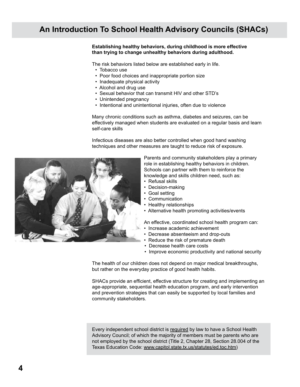## **An Introduction To School Health Advisory Councils (SHACs)**

#### **Establishing healthy behaviors, during childhood is more effective than trying to change unhealthy behaviors during adulthood.**

The risk behaviors listed below are established early in life.

- Tobacco use
- Poor food choices and inappropriate portion size
- Inadequate physical activity
- Alcohol and drug use
- Sexual behavior that can transmit HIV and other STD's
- Unintended pregnancy
- Intentional and unintentional injuries, often due to violence

Many chronic conditions such as asthma, diabetes and seizures, can be effectively managed when students are evaluated on a regular basis and learn self-care skills

Infectious diseases are also better controlled when good hand washing techniques and other measures are taught to reduce risk of exposure.



Parents and community stakeholders play a primary role in establishing healthy behaviors in children. Schools can partner with them to reinforce the knowledge and skills children need, such as:

- Refusal skills
- Decision-making
- Goal setting
- Communication
- Healthy relationships
- Alternative health promoting activities/events

An effective, coordinated school health program can:

- Increase academic achievement
- Decrease absenteeism and drop-outs
- Reduce the risk of premature death
- Decrease health care costs
- Improve economic productivity and national security

The health of our children does not depend on major medical breakthroughs, but rather on the everyday practice of good health habits.

SHACs provide an efficient, effective structure for creating and implementing an age-appropriate, sequential health education program, and early intervention and prevention strategies that can easily be supported by local families and community stakeholders.

Every independent school district is required by law to have a School Health Advisory Council; of which the majority of members must be parents who are not employed by the school district (Title 2, Chapter 28, Section 28.004 of the Texas Education Code: www.capitol.state.tx.us/statutes/ed.toc.htm)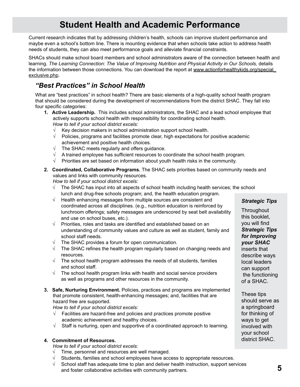## **Student Health and Academic Performance**

Current research indicates that by addressing children's health, schools can improve student performance and maybe even a school's bottom line. There is mounting evidence that when schools take action to address health needs of students, they can also meet performance goals and alleviate financial constraints.

SHACs should make school board members and school administrators aware of the connection between health and learning. The Learning Connection: The Value of Improving Nutrition and Physical Activity in Our Schools, details the information between those connections. You can download the report at www.actionforhealthykids.org/special\_ exclusive.php.

### *"Best Practices" in School Health*

What are "best practices" in school health? There are basic elements of a high-quality school health program that should be considered during the development of recommendations from the district SHAC. They fall into four specific categories:

- **1. Active Leadership.** This includes school administrators, the SHAC and a lead school employee that actively supports school health with responsibility for coordinating school health. *How to tell if your school district excels:*
	- $\sqrt{\phantom{a}}$  Key decision makers in school administration support school health.
	- $\sqrt{\phantom{a}}$  Policies, programs and facilities promote clear, high expectations for positive academic achievement and positive health choices.
	- $\sqrt{\phantom{a}}$  The SHAC meets regularly and offers guidance.
	- $\sqrt{\phantom{a}}$  A trained employee has sufficient resources to coordinate the school health program.
	- $\sqrt{\phantom{a}}$  Priorities are set based on information about youth health risks in the community.
- **2. Coordinated, Collaborative Programs.** The SHAC sets priorities based on community needs and values and links with community resources.

*How to tell if your school district excels:*

- √ The SHAC has input into all aspects of school health including health services; the school lunch and drug-free schools program; and, the health education program.
- $\sqrt{\phantom{a}}$  Health enhancing messages from multiple sources are consistent and coordinated across all disciplines. (e.g., nutrition education is reinforced by lunchroom offerings; safety messages are underscored by seat belt availability and use on school buses, etc.).
- $\sqrt{\phantom{a}}$  Priorities, roles and tasks are identified and established based on an understanding of community values and culture as well as student, family and school staff needs.
- $\sqrt{\phantom{a}}$  The SHAC provides a forum for open communication.
- $\sqrt{\phantom{a}}$  The SHAC refines the health program regularly based on changing needs and resources.
- $\sqrt{\phantom{a}}$  The school health program addresses the needs of all students, families and school staff.
- $\sqrt{\phantom{a}}$  The school health program links with health and social service providers as well as programs and other resources in the community.
- **3. Safe, Nurturing Environment.** policies, practices and programs are implemented that promote consistent, health-enhancing messages; and, facilities that are hazard free are supported.

*How to tell if your school district excels:*

- $\sqrt{\phantom{a}}$  Facilities are hazard-free and policies and practices promote positive academic achievement and healthy choices.
- $\sqrt{\phantom{a}}$  Staff is nurturing, open and supportive of a coordinated approach to learning.

#### **4. Commitment of Resources.**

*How to tell if your school district excels:*

- $\sqrt{\phantom{a}}$  Time, personnel and resources are well managed.
- Students, families and school employees have access to appropriate resources.
- $\sqrt{\phantom{a}}$  School staff has adequate time to plan and deliver health instruction, support services and foster collaborative activities with community partners.

#### *Strategic Tips*

**Throughout** this booklet, you will find *Strategic Tips for improving your SHAC*  inserts that describe ways local leaders can support the functioning of a SHAC.

These tips should serve as a springboard for thinking of ways to get involved with your school district SHAC.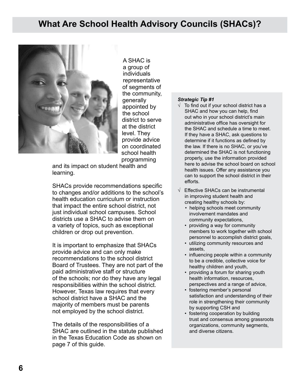## **What Are School Health Advisory Councils (SHACs)?**



A SHAC is a group of individuals representative of segments of the community, generally appointed by the school district to serve at the district level. They provide advice on coordinated school health programming

and its impact on student health and learning.

SHACs provide recommendations specific to changes and/or additions to the school's health education curriculum or instruction that impact the entire school district, not just individual school campuses. School districts use a SHAC to advise them on a variety of topics, such as exceptional children or drop out prevention.

It is important to emphasize that SHACs provide advice and can only make recommendations to the school district Board of Trustees. They are not part of the paid administrative staff or structure of the schools; nor do they have any legal responsibilities within the school district. However, Texas law requires that every school district have a SHAC and the majority of members must be parents not employed by the school district.

The details of the responsibilities of a SHAC are outlined in the statute published in the Texas Education Code as shown on page 7 of this guide.

- $\sqrt{\phantom{a}}$  To find out if your school district has a SHAC and how you can help, find out who in your school district's main administrative office has oversight for the SHAC and schedule a time to meet. If they have a SHAC, ask questions to determine if it functions as defined by the law. If there is no SHAC, or you've determined the SHAC is not functioning properly, use the information provided here to advise the school board on school health issues. Offer any assistance you can to support the school district in their efforts.
- √ Effective SHACs can be instrumental in improving student health and creating healthy schools by:
	- helping schools meet community involvement mandates and community expectations,
	- providing a way for community members to work together with school personnel to accomplish district goals,
	- utilizing community resources and assets,
	- influencing people within a community to be a credible, collective voice for healthy children and youth,
	- providing a forum for sharing youth health information, resources, perspectives and a range of advice,
	- fostering member's personal satisfaction and understanding of their role in strengthening their community by supporting CSH and
	- fostering cooperation by building trust and consensus among grassroots organizations, community segments, and diverse citizens.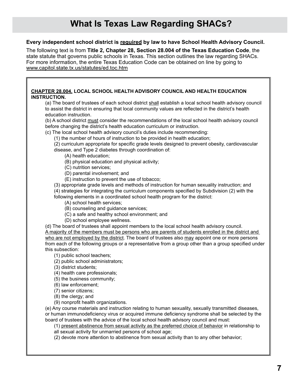#### **Every independent school district is required by law to have School Health Advisory Council.**

The following text is from **Title 2, Chapter 28, Section 28.004 of the Texas Education Code**, the state statute that governs public schools in Texas. This section outlines the law regarding SHACs. For more information, the entire Texas Education Code can be obtained on line by going to www.capitol.state.tx.us/statutes/ed.toc.htm

#### **CHAPTER 28.004. LOCAL SCHOOL HEALTH ADVISORY COUNCIL AND HEALTH EDUCATION INSTRUCTION.**

(a) The board of trustees of each school district shall establish a local school health advisory council to assist the district in ensuring that local community values are reflected in the district's health education instruction.

(b) A school district must consider the recommendations of the local school health advisory council before changing the district's health education curriculum or instruction.

(c) The local school health advisory council's duties include recommending:

(1) the number of hours of instruction to be provided in health education;

(2) curriculum appropriate for specific grade levels designed to prevent obesity, cardiovascular disease, and Type 2 diabetes through coordination of:

(A) health education;

(B) physical education and physical activity;

(C) nutrition services;

(D) parental involvement; and

(E) instruction to prevent the use of tobacco;

(3) appropriate grade levels and methods of instruction for human sexuality instruction; and (4) strategies for integrating the curriculum components specified by Subdivision (2) with the following elements in a coordinated school health program for the district:

(A) school health services;

(B) counseling and guidance services;

(C) a safe and healthy school environment; and

(D) school employee wellness.

(d) The board of trustees shall appoint members to the local school health advisory council. A majority of the members must be persons who are parents of students enrolled in the district and who are not employed by the district. The board of trustees also may appoint one or more persons from each of the following groups or a representative from a group other than a group specified under this subsection:

(1) public school teachers;

(2) public school administrators;

(3) district students;

(4) health care professionals;

(5) the business community;

(6) law enforcement;

(7) senior citizens;

(8) the clergy; and

(9) nonprofit health organizations.

(e) Any course materials and instruction relating to human sexuality, sexually transmitted diseases, or human immunodeficiency virus or acquired immune deficiency syndrome shall be selected by the board of trustees with the advice of the local school health advisory council and must:

(1) present abstinence from sexual activity as the preferred choice of behavior in relationship to all sexual activity for unmarried persons of school age;

(2) devote more attention to abstinence from sexual activity than to any other behavior;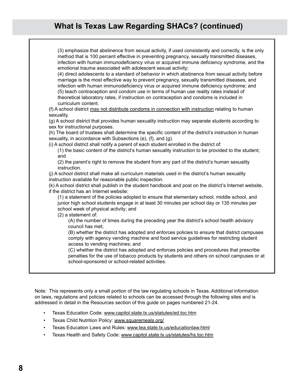## **What Is Texas Law Regarding SHACs? (continued)**

| (3) emphasize that abstinence from sexual activity, if used consistently and correctly, is the only<br>method that is 100 percent effective in preventing pregnancy, sexually transmitted diseases,<br>infection with human immunodeficiency virus or acquired immune deficiency syndrome, and the<br>emotional trauma associated with adolescent sexual activity;<br>(4) direct adolescents to a standard of behavior in which abstinence from sexual activity before<br>marriage is the most effective way to prevent pregnancy, sexually transmitted diseases, and<br>infection with human immunodeficiency virus or acquired immune deficiency syndrome; and<br>(5) teach contraception and condom use in terms of human use reality rates instead of<br>theoretical laboratory rates, if instruction on contraception and condoms is included in<br>curriculum content. |
|------------------------------------------------------------------------------------------------------------------------------------------------------------------------------------------------------------------------------------------------------------------------------------------------------------------------------------------------------------------------------------------------------------------------------------------------------------------------------------------------------------------------------------------------------------------------------------------------------------------------------------------------------------------------------------------------------------------------------------------------------------------------------------------------------------------------------------------------------------------------------|
| (f) A school district may not distribute condoms in connection with instruction relating to human                                                                                                                                                                                                                                                                                                                                                                                                                                                                                                                                                                                                                                                                                                                                                                            |
| sexuality.                                                                                                                                                                                                                                                                                                                                                                                                                                                                                                                                                                                                                                                                                                                                                                                                                                                                   |
| (g) A school district that provides human sexuality instruction may separate students according to<br>sex for instructional purposes.                                                                                                                                                                                                                                                                                                                                                                                                                                                                                                                                                                                                                                                                                                                                        |
| (h) The board of trustees shall determine the specific content of the district's instruction in human<br>sexuality, in accordance with Subsections (e), (f), and (g).                                                                                                                                                                                                                                                                                                                                                                                                                                                                                                                                                                                                                                                                                                        |
| (i) A school district shall notify a parent of each student enrolled in the district of:                                                                                                                                                                                                                                                                                                                                                                                                                                                                                                                                                                                                                                                                                                                                                                                     |
| (1) the basic content of the district's human sexuality instruction to be provided to the student;<br>and                                                                                                                                                                                                                                                                                                                                                                                                                                                                                                                                                                                                                                                                                                                                                                    |
| (2) the parent's right to remove the student from any part of the district's human sexuality<br>instruction.                                                                                                                                                                                                                                                                                                                                                                                                                                                                                                                                                                                                                                                                                                                                                                 |
| (j) A school district shall make all curriculum materials used in the district's human sexuality                                                                                                                                                                                                                                                                                                                                                                                                                                                                                                                                                                                                                                                                                                                                                                             |
| instruction available for reasonable public inspection.                                                                                                                                                                                                                                                                                                                                                                                                                                                                                                                                                                                                                                                                                                                                                                                                                      |
| (k) A school district shall publish in the student handbook and post on the district's Internet website,<br>if the district has an Internet website:                                                                                                                                                                                                                                                                                                                                                                                                                                                                                                                                                                                                                                                                                                                         |
| (1) a statement of the policies adopted to ensure that elementary school, middle school, and<br>junior high school students engage in at least 30 minutes per school day or 135 minutes per<br>school week of physical activity; and<br>(2) a statement of:                                                                                                                                                                                                                                                                                                                                                                                                                                                                                                                                                                                                                  |
| (A) the number of times during the preceding year the district's school health advisory<br>council has met;                                                                                                                                                                                                                                                                                                                                                                                                                                                                                                                                                                                                                                                                                                                                                                  |
| (B) whether the district has adopted and enforces policies to ensure that district campuses<br>comply with agency vending machine and food service guidelines for restricting student<br>access to vending machines; and                                                                                                                                                                                                                                                                                                                                                                                                                                                                                                                                                                                                                                                     |
| (C) whether the district has adopted and enforces policies and procedures that prescribe<br>penalties for the use of tobacco products by students and others on school campuses or at<br>school-sponsored or school-related activities.                                                                                                                                                                                                                                                                                                                                                                                                                                                                                                                                                                                                                                      |
|                                                                                                                                                                                                                                                                                                                                                                                                                                                                                                                                                                                                                                                                                                                                                                                                                                                                              |

Note: This represents only a small portion of the law regulating schools in Texas. Additional information on laws, regulations and policies related to schools can be accessed through the following sites and is addressed in detail in the Resources section of this guide on pages numbered 21-24.

- Texas Education Code: www.capitol.state.tx.us/statutes/ed.toc.htm
- Texas Child Nutrition Policy: www.squaremeals.org/
- Texas Education Laws and Rules: www.tea.state.tx.us/educationlaw.html
- Texas Health and Safety Code: www.capitol.state.tx.us/statutes/hs.toc.htm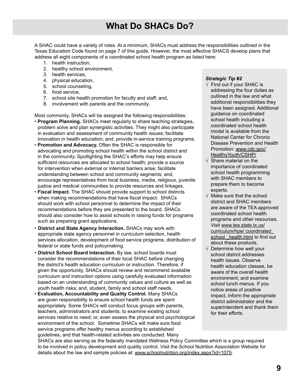## **What Do SHACs Do?**

A SHAC could have a variety of roles. At a minimum, SHACs must address the responsibilities outlined in the Texas Education Code found on page 7 of this guide. However, the most effective SHACS develop plans that address all eight components of a coordinated school health program as listed here:

- 1. health instruction,
- 2. healthy school environment,
- 3. health services,
- 4. physical education,
- 5. school counseling,
- 6. food service,
- 7. school site health promotion for faculty and staff; and,
- 8. involvement with parents and the community.

Most commonly, SHACs will be assigned the following responsibilities:

- • **Program planning.** SHACs meet regularly to share teaching strategies, problem solve and plan synergistic activities. They might also participate in evaluation and assessment of community health issues; facilitate innovation in health education; and, provide in-service training programs.
- • **Promotion and Advocacy.** Often the SHAC is responsible for advocating and promoting school health within the school district and in the community. Spotlighting the SHAC's efforts may help ensure sufficient resources are allocated to school health; provide a source for intervention when external or internal barriers arise; facilitate understanding between school and community segments; and, encourage representatives from local business, media, religious, juvenile justice and medical communities to provide resources and linkages.
- • **Fiscal Impact.** The SHAC should provide support to school districts when making recommendations that have fiscal impact.SHACs should work with school personnel to determine the impact of their recommendations before they are presented to the board. SHACs should also consider how to assist schools in raising funds for programs such as preparing grant applications.
- **District and state agency Interaction.** SHACs may work with appropriate state agency personnel in curriculum selection, health services allocation, development of food service programs, distribution of federal or state funds and policymaking.
- **District School Board Interaction.** By law, school boards must consider the recommendations of their local SHAC before changing the district's health education curriculum or instruction. Therefore, if given the opportunity, SHACs should review and recommend available curriculum and instruction options using carefully evaluated information based on an understanding of community values and culture as well as youth health risks; and, student, family and school staff needs.
- • **Evaluation, accountability and quality control.** Many SHACs are given responsibility to ensure school health funds are spent appropriately. Some SHACs will conduct focus groups with parents, teachers, administrators and students; to examine existing school services relative to need; or, even assess the physical and psychological environment of the school. Sometime SHACs will make sure food service programs offer healthy menus according to established guidelines, and that health-related activities are conducted. Many

#### *Strategic Tip #2*

- $\sqrt{ }$  Find out if your SHAC is addressing the four duties as outlined in the law and what additional responsibilities they have been assigned. Additional guidance on coordinated school health including a coordinated school health model is available from the National Center for Chronic Disease Prevention and Health Promotion: www.cdc.gov/ HealthyYouth/CSHP/
- $\sqrt{ }$  Share material on the importance of coordinated school health programming with SHAC members to prepare them to become experts.
- $\sqrt{ }$  Make sure that the school district and SHAC members are aware of the TEA approved coordinated school health programs and other resources. Visit www.tea.state.tx.us/ curriculum/hpe/ coordinated\_ school health.html to find out about these products.
- $\sqrt{ }$  Determine how well your school district addresses health issues. Observe health education classes, be aware of the overall health environment; and examine school lunch menus. If you notice areas of positive impact, inform the appropriate district administrator and the superintendent and thank them for their efforts.

SHACs are also serving as the federally mandated Wellness Policy Committee which is a group required to be involved in policy development and quality control. Visit the School Nutrition Association Website for details about the law and sample policies at: www.schoolnutrition.org/index.aspx?id=1075.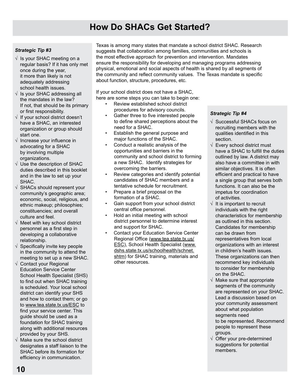## **How Do SHACs Get Started?**

#### *Strategic Tip #3*

- √ Is your SHAC meeting on a regular basis? If it has only met once during the year, it more than likely is not adequately addressing school health issues.
- $\sqrt{ }$  Is your SHAC addressing all the mandates in the law? If not, that should be its primary or first responsibility.
- √ If your school district doesn't have a SHAC, an interested organization or group should start one.
- $\sqrt{ }$  Increase your influence in advocating for a SHAC by involving multiple organizations.
- $\sqrt{ }$  Use the description of SHAC duties described in this booklet and in the law to set up your SHAC.
- $\sqrt{ }$  SHACs should represent your community's geographic area; economic, social, religious, and ethnic makeup; philosophies; constituencies; and overall culture and feel.
- $\sqrt{ }$  Meet with key school district personnel as a first step in developing a collaborative relationship.
- $\sqrt{ }$  Specifically invite key people in the community to attend the meeting to set up a new SHAC.
- √ Contact your Regional Education Service Center School Health Specialist (SHS) to find out when SHAC training is scheduled. Your local school district can identify your SHS and how to contact them; or go to www.tea.state.tx.us/ESC to find your service center. This guide should be used as a foundation for SHAC training along with additional resources provided by your SHS.
- $\sqrt{ }$  Make sure the school district designates a staff liaison to the SHAC before its formation for efficiency in communication.

Texas is among many states that mandate a school district SHAC. Research suggests that collaboration among families, communities and schools is the most effective approach for prevention and intervention. Mandates ensure the responsibility for developing and managing programs addressing physical, emotional and social aspects of health is shared by all segments of the community and reflect community values. The Texas mandate is specific about function, structure, procedures, etc.

If your school district does not have a SHAC, here are some steps you can take to begin one:

- Review established school district procedures for advisory councils.
- Gather three to five interested people to define shared perceptions about the need for a SHAC.
- Establish the general purpose and major functions of the SHAC.
- Conduct a realistic analysis of the opportunities and barriers in the community and school district to forming a new SHAC. Identify strategies for overcoming the barriers.
- Review categories and identify potential candidates of SHAC members and a tentative schedule for recruitment.
- Prepare a brief proposal on the formation of a SHAC.
- Gain support from your school district central office personnel.
- Hold an initial meeting with school district personnel to determine interest and support for SHAC.
- Contact your Education Service Center Regional Office (www.tea.state.tx.us/ ESC), School Health Specialist (www. dshs.state.tx.us/schoolhealth/schnet. shtm) for SHAC training, materials and other resources.

- √ Successful SHACs focus on recruiting members with the qualities identified in this section.
- √ Every school district must have a SHAC to fulfill the duties outlined by law. A district may also have a committee in with similar objectives. It is often efficient and practical to have a single group that serves both functions. It can also be the impetus for coordination of activities.
- √ It is important to recruit individuals with the right characteristics for membership as outlined in this section. Candidates for membership can be drawn from representatives from local organizations with an interest in children's health issues. These organizations can then recommend key individuals to consider for membership on the SHAC.
- $\sqrt{ }$  Make sure that appropriate segments of the community are represented on your SHAC. Lead a discussion based on your community assessment about what population segments need to be represented. Recommend people to represent these groups.
- √ Offer your pre-determined suggestions for potential members.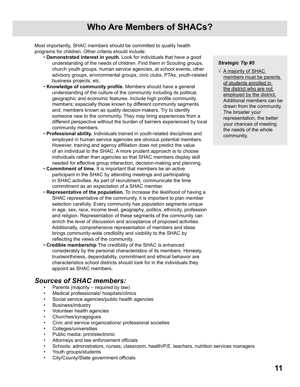## **Who Are Members of SHACs?**

Most importantly, SHAC members should be committed to quality health programs for children. Other criteria should include:

- • **Demonstrated interest in youth.** Look for individuals that have a good understanding of the needs of children. Find them in Scouting groups, church youth groups, human service agencies, at school events, other advisory groups, environmental groups, civic clubs, PTAs, youth-related business projects, etc.
- • **Knowledge of community profile.** Members should have a general understanding of the culture of the community including its political, geographic and economic features. Include high profile community members; especially those known by different community segments and, members known as quality decision-makers. Try to identify someone new to the community. They may bring experiences from a different perspective without the burden of barriers experienced by local community members.
- • **Professional ability.** Individuals trained in youth-related disciplines and employed in human service agencies are obvious potential members. However, training and agency affiliation does not predict the value of an individual to the SHAC. A more prudent approach is to choose individuals rather than agencies so that SHAC members display skill needed for effective group interaction, decision-making and planning.
- • **Commitment of time.** It is important that members be an active participant in the SHAC by attending meetings and participating in SHAC activities. As part of recruitment, communicate the time commitment as an expectation of a SHAC member.
- • **Representative of the population.** To increase the likelihood of having a SHAC representative of the community, it is important to plan member selection carefully. Every community has population segments unique in age, sex, race, income level, geography, politics, ethnicity, profession and religion. Representation of these segments of the community can enrich the level of discussion and acceptance of proposed activities. Additionally, comprehensive representation of members and ideas brings community-wide credibility and visibility to the SHAC by reflecting the views of the community.
- • **Credible membership** The credibility of the SHAC is enhanced considerably by the personal characteristics of its members. Honesty, trustworthiness, dependability, commitment and ethical behavior are characteristics school districts should look for in the individuals they appoint as SHAC members.

#### *Sources of SHAC members:*

- Parents (majority required by law)
- Medical professionals/ hospitals/clinics
- Social service agencies/public health agencies
- Business/industry
- Volunteer health agencies
- Churches/synagogues
- Civic and service organizations/ professional societies
- Colleges/universities
- Public media: print/electronic
- Attorneys and law enforcement officials
- Schools: administrators, nurses, classroom, health/P.E. teachers, nutrition services managers
- Youth groups/students
- City/County/State government officials

#### *Strategic Tip #5*

√ A majority of SHAC members must be parents of students enrolled in the district who are not employed by the district. Additional members can be drawn from the community. The broader your representation, the better your chances of meeting the needs of the whole community.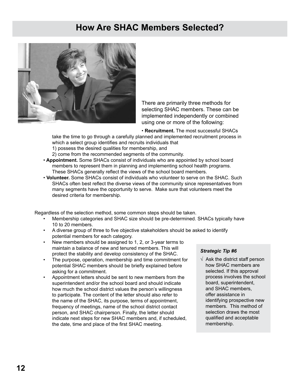## **How Are SHAC Members Selected?**



There are primarily three methods for selecting SHAC members. These can be implemented independently or combined using one or more of the following:

• **Recruitment.** The most successful SHACs

take the time to go through a carefully planned and implemented recruitment process in which a select group identifies and recruits individuals that

1) possess the desired qualities for membership, and

2) come from the recommended segments of the community.

- • **Appointment.** Some SHACs consist of individuals who are appointed by school board members to represent them in planning and implementing school health programs. These SHACs generally reflect the views of the school board members.
- • **Volunteer.** Some SHACs consist of individuals who volunteer to serve on the SHAC. Such SHACs often best reflect the diverse views of the community since representatives from many segments have the opportunity to serve. Make sure that volunteers meet the desired criteria for membership.

Regardless of the selection method, some common steps should be taken.

- Membership categories and SHAC size should be pre-determined. SHACs typically have 10 to 20 members.
- A diverse group of three to five objective stakeholders should be asked to identify potential members for each category.
- New members should be assigned to 1, 2, or 3-year terms to maintain a balance of new and tenured members. This will protect the stability and develop consistency of the SHAC.
- The purpose, operation, membership and time commitment for potential SHAC members should be briefly explained before asking for a commitment.
- Appointment letters should be sent to new members from the superintendent and/or the school board and should indicate how much the school district values the person's willingness to participate. The content of the letter should also refer to the name of the SHAC, its purpose, terms of appointment, frequency of meetings, name of the school district contact person, and SHAC chairperson. Finally, the letter should indicate next steps for new SHAC members and, if scheduled, the date, time and place of the first SHAC meeting.

#### *Strategic Tip #6*

 $\sqrt{ }$  Ask the district staff person how SHAC members are selected. If this approval process involves the school board, superintendent, and SHAC members, offer assistance in identifying prospective new members. This method of selection draws the most qualified and acceptable membership.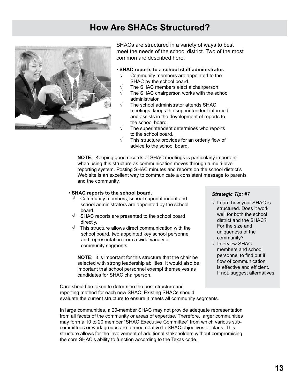## **How Are SHACs Structured?**



SHACs are structured in a variety of ways to best meet the needs of the school district. Two of the most common are described here:

#### • **SHAC reports to a school staff administrator.**

- Community members are appointed to the SHAC by the school board.
- The SHAC members elect a chairperson.
- The SHAC chairperson works with the school administrator.
- The school administrator attends SHAC meetings, keeps the superintendent informed and assists in the development of reports to the school board.
- The superintendent determines who reports to the school board.
- This structure provides for an orderly flow of advice to the school board.

**NOTE:** Keeping good records of SHAC meetings is particularly important when using this structure as communication moves through a multi-level reporting system. Posting SHAC minutes and reports on the school district's Web site is an excellent way to communicate a consistent message to parents and the community.

#### • **SHAC reports to the school board.**

- $\sqrt{\phantom{a}}$  Community members, school superintendent and school administrators are appointed by the school board.
- √ SHAC reports are presented to the school board directly.
- $\sqrt{\phantom{a}}$  This structure allows direct communication with the school board, two appointed key school personnel and representation from a wide variety of community segments.

**NOTE:** It is important for this structure that the chair be selected with strong leadership abilities. It would also be important that school personnel exempt themselves as candidates for SHAC chairperson.

#### *Strategic Tip: #7*

- $\sqrt{ }$  Learn how your SHAC is structured. Does it work well for both the school district and the SHAC? For the size and uniqueness of the community?
- √ Interview SHAC members and school personnel to find out if flow of communication is effective and efficient. If not, suggest alternatives.

Care should be taken to determine the best structure and reporting method for each new SHAC. Existing SHACs should evaluate the current structure to ensure it meets all community segments.

In large communities, a 20-member SHAC may not provide adequate representation from all facets of the community or areas of expertise. Therefore, larger communities may form a 10 to 20 member "SHAC Executive Committee" from which various subcommittees or work groups are formed relative to SHAC objectives or plans. This structure allows for the involvement of additional stakeholders without compromising the core SHAC's ability to function according to the Texas code.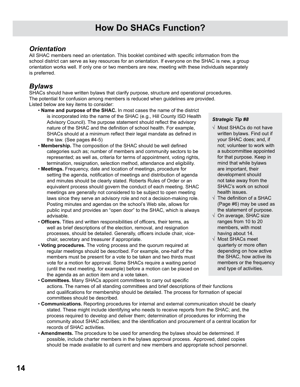### *Orientation*

All SHAC members need an orientation. This booklet combined with specific information from the school district can serve as key resources for an orientation. If everyone on the SHAC is new, a group orientation works well. If only one or two members are new, meeting with these individuals separately is preferred.

### *Bylaws*

SHACs should have written bylaws that clarify purpose, structure and operational procedures. The potential for confusion among members is reduced when guidelines are provided. Listed below are key items to consider:

- • **Name and purpose of the SHAC.** In most cases the name of the district is incorporated into the name of the SHAC (e.g., Hill County ISD Health Advisory Council). The purpose statement should reflect the advisory nature of the SHAC and the definition of school health. For example, SHACs should at a minimum reflect their legal mandate as defined in the law. (See pages #4-5)
- • **Membership.** The composition of the SHAC should be well defined categories such as; number of members and community sectors to be represented; as well as, criteria for terms of appointment, voting rights, termination, resignation, selection method, attendance and eligibility.
- • **Meetings.** Frequency, date and location of meetings, procedure for setting the agenda, notification of meetings and distribution of agenda and minutes should be clearly stated. Roberts Rules of Order or an equivalent process should govern the conduct of each meeting. SHAC meetings are generally not considered to be subject to open meeting laws since they serve an advisory role and not a decision-making role. Posting minutes and agendas on the school's Web site, allows for public input and provides an "open door" to the SHAC, which is always advisable.
- • **Officers.** Titles and written responsibilities of officers, their terms, as well as brief descriptions of the election, removal, and resignation processes, should be detailed. Generally, officers include chair, vicechair, secretary and treasurer if appropriate.
- • **Voting procedures.** The voting process and the quorum required at regular meetings should be described. For example, one-half of the members must be present for a vote to be taken and two thirds must vote for a motion for approval. Some SHACs require a waiting period (until the next meeting, for example) before a motion can be placed on the agenda as an action item and a vote taken.

- √ Most SHACs do not have written bylaws. Find out if your SHAC does; and, if not; volunteer to work with a subcommittee appointed for that purpose. Keep in mind that while bylaws are important, their development should not take away from the SHAC's work on school health issues.
- $\sqrt{\phantom{a}}$  The definition of a SHAC (Page #6) may be used as the statement of purpose.
- $\sqrt{\phantom{a}}$  On average, SHAC size ranges from 10 to 20 members, with most having about 14.
- √ Most SHACs meet quarterly or more often depending on how active the SHAC, how active its members or the frequency and type of activities.
- • **Committees.** Many SHACs appoint committees to carry out specific actions. The names of all standing committees and brief descriptions of their functions and qualifications for membership should be detailed. The process for formation of special committees should be described.
- • **Communications.** Reporting procedures for internal and external communication should be clearly stated. These might include identifying who needs to receive reports from the SHAC; and, the process required to develop and deliver them; determination of procedures for informing the community about SHAC activities; and the identification and procurement of a central location for records of SHAC activities.
- • **Amendments.** The procedure to be used for amending the bylaws should be determined. If possible, include charter members in the bylaws approval process. Approved, dated copies should be made available to all current and new members and appropriate school personnel.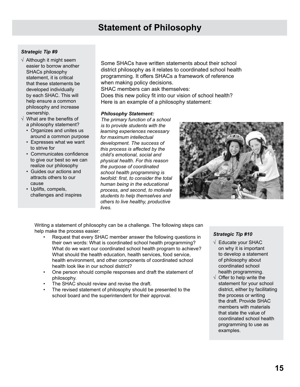## **Statement of Philosophy**

#### *Strategic Tip #9*

- $\sqrt{\phantom{a}}$  Although it might seem easier to borrow another SHACs philosophy statement, it is critical that these statements be developed individually by each SHAC. This will help ensure a common philosophy and increase ownership.
- $\sqrt{ }$  What are the benefits of a philosophy statement?
	- Organizes and unites us around a common purpose
	- Expresses what we want to strive for
	- Communicates confidence to give our best so we can realize our philosophy
	- Guides our actions and attracts others to our cause
	- Uplifts, compels, challenges and inspires

Some SHACs have written statements about their school district philosophy as it relates to coordinated school health programming. It offers SHACs a framework of reference when making policy decisions.

SHAC members can ask themselves:

Does this new policy fit into our vision of school health? Here is an example of a philosophy statement:

#### *Philosophy Statement:*

*The primary function of a school is to provide students with the learning experiences necessary for maximum intellectual development. The success of this process is affected by the child's emotional, social and physical health. For this reason the purpose of coordinated school health programming is twofold: first, to consider the total human being in the educational process, and second, to motivate students to help themselves and others to live healthy, productive lives.*



Writing a statement of philosophy can be a challenge. The following steps can help make the process easier:

- Request that every SHAC member answer the following questions in their own words: What is coordinated school health programming? What do we want our coordinated school health program to achieve? What should the health education, health services, food service, health environment, and other components of coordinated school health look like in our school district?
- One person should compile responses and draft the statement of philosophy.
- The SHAC should review and revise the draft.
- The revised statement of philosophy should be presented to the school board and the superintendent for their approval.

- √ Educate your SHAC on why it is important to develop a statement of philosophy about coordinated school health programming.
- $\sqrt{\phantom{a}}$  Offer to help write the statement for your school district, either by facilitating the process or writing the draft. Provide SHAC members with materials that state the value of coordinated school health programming to use as examples.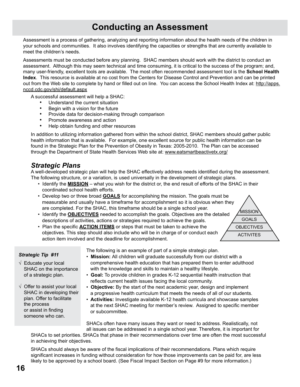## **Conducting an Assessment**

Assessment is a process of gathering, analyzing and reporting information about the health needs of the children in your schools and communities. It also involves identifying the capacities or strengths that are currently available to meet the children's needs.

Assessments must be conducted before any planning. SHAC members should work with the district to conduct an assessment. Although this may seem technical and time consuming, it is critical to the success of the program; and, many user-friendly, excellent tools are available. The most often recommended assessment tool is the **School Health Index**. This resource is available at no cost from the Centers for Disease Control and Prevention and can be printed out from the Web site to complete by hand or filled out on line. You can access the School Health Index at: http://apps. nccd.cdc.gov/shi/default.aspx

A successful assessment will help a SHAC:

- Understand the current situation
- Begin with a vision for the future
- Provide data for decision-making through comparison
- Promote awareness and action
- Help obtain funding and other resources

In addition to utilizing information gathered from within the school district, SHAC members should gather public health information that is available. For example, one excellent source for public health information can be found in the Strategic Plan for the Prevention of Obesity in Texas: 2005-2010. The Plan can be accessed through the Department of State Health Services Web site at: www.eatsmartbeactivetx.org/

#### *Strategic Plans*

A well-developed strategic plan will help the SHAC effectively address needs identified during the assessment. The following structure, or a variation, is used universally in the development of strategic plans.

- Identify the **mission** what you wish for the district or, the end result of efforts of the SHAC in their coordinated school health efforts.
- Develop two or three broad **goals** for accomplishing the mission. The goals must be measurable and usually have a timeframe for accomplishment so it is obvious when they are completed. For the SHAC, this timeframe should be a single school year.
- Identify the **objectives** needed to accomplish the goals. Objectives are the detailed descriptions of activities, actions or strategies required to achieve the goals.
- Plan the specific **ACTION ITEMS** or steps that must be taken to achieve the objectives. This step should also include who will be in charge of or conduct each action item involved and the deadline for accomplishment.



#### *Strategic Tip #11*

- √ Educate your local SHAC on the importance of a strategic plan.
- The following is an example of part of a simple strategic plan. • **Mission:** All children will graduate successfully from our district with a comprehensive health education that has prepared them to enter adulthood with the knowledge and skills to maintain a healthy lifestyle.
- • **Goal:** To provide children in grades K-12 sequential health instruction that reflects current health issues facing the local community.
- • **Objective:** By the start of the next academic year, design and implement a progressive health curriculum that meets the needs of all of our students.
- • **Activities:** Investigate available K-12 health curricula and showcase samples at the next SHAC meeting for member's review. Assigned to specific member or subcommittee.

SHACs often have many issues they want or need to address. Realistically, not all issues can be addressed in a single school year. Therefore, it is important for

SHACs to set priorities. SHACs that phase in their recommendations over time are often the most successful in achieving their objectives.

SHACs should always be aware of the fiscal implications of their recommendations. Plans which require significant increases in funding without consideration for how those improvements can be paid for, are less likely to be approved by a school board. (See Fiscal Impact Section on Page #9 for more information.)

√ Offer to assist your local SHAC in developing their plan. Offer to facilitate the process or assist in finding someone who can.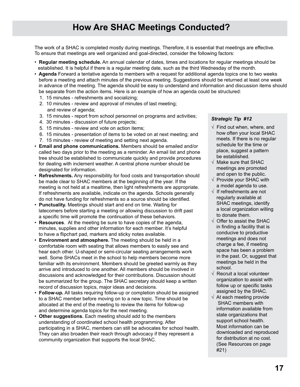## **How Are SHAC Meetings Conducted?**

The work of a SHAC is completed mostly during meetings. Therefore, it is essential that meetings are effective. To ensure that meetings are well organized and goal-directed, consider the following factors:

- • **Regular meeting schedule.** An annual calendar of dates, times and locations for regular meetings should be established. It is helpful if there is a regular meeting date, such as the third Wednesday of the month.
- • **Agenda** Forward a tentative agenda to members with a request for additional agenda topics one to two weeks before a meeting and attach minutes of the previous meeting. Suggestions should be returned at least one week in advance of the meeting. The agenda should be easy to understand and information and discussion items should be separate from the action items. Here is an example of how an agenda could be structured:
	- 1. 15 minutes refreshments and socializing;
	- 2. 10 minutes review and approval of minutes of last meeting; and review of agenda;
	- 3. 15 minutes report from school personnel on programs and activities;
	- 4. 30 minutes discussion of future projects;
	- 5. 15 minutes review and vote on action items;
	- 6. 15 minutes presentation of items to be voted on at next meeting; and
	- 7. 15 minutes review of meeting and setting next agenda.
- • **Email and phone communications.** Members should be emailed and/or called two days prior to the meeting as a reminder. An email list and phone tree should be established to communicate quickly and provide procedures for dealing with inclement weather. A central phone number should be designated for information.
- • **Refreshments.** Any responsibility for food costs and transportation should be made clear to SHAC members at the beginning of the year. If the meeting is not held at a mealtime, then light refreshments are appropriate. If refreshments are available, indicate on the agenda. Schools generally do not have funding for refreshments so a source should be identified.
- • **Punctuality.** Meetings should start and end on time. Waiting for latecomers before starting a meeting or allowing discussion to drift past a specific time will promote the continuation of these behaviors.
- • **Resources**. At the meeting be sure to have copies of the agenda, minutes, supplies and other information for each member. It's helpful to have a flipchart pad, markers and sticky notes available.
- • **Environment and atmosphere.** The meeting should be held in a comfortable room with seating that allows members to easily see and hear each other. U-shaped or semi-circular seating arrangements work well. Some SHACs meet in the school to help members become more familiar with its environment. Members should be greeted warmly as they arrive and introduced to one another. All members should be involved in discussions and acknowledged for their contributions. Discussion should be summarized for the group. The SHAC secretary should keep a written record of discussion topics, major ideas and decisions.
- • **Follow-up.** All tasks requiring follow-up or completion should be assigned to a SHAC member before moving on to a new topic. Time should be allocated at the end of the meeting to review the items for follow-up and determine agenda topics for the next meeting.
- • **Other suggestions.** Each meeting should add to the members understanding of coordinated school health programming. After participating in a SHAC, members can still be advocates for school health. They can also broaden their reach through advocacy if they represent a community organization that supports the local SHAC.

- $\sqrt{ }$  Find out when, where, and how often your local SHAC meets. If there is no regular schedule for the time or place, suggest a pattern be established.
- √ Make sure that SHAC meetings are promoted and open to the public.
- √ Provide your SHAC with a model agenda to use.
- √ If refreshments are not regularly available at SHAC meetings, identify a local organization willing to donate them.
- $\sqrt{\phantom{a}}$  Offer to assist the SHAC in finding a facility that is conducive to productive meetings and does not charge a fee, if meeting space has been a problem in the past. Or, suggest that meetings be held in the school.
- √ Recruit a local volunteer organization to assist with follow up or specific tasks assigned by the SHAC.
- $\sqrt{ }$  At each meeting provide SHAC members with information available from state organizations that support school health. Most information can be downloaded and reproduced for distribution at no cost. (See Resources on page #21)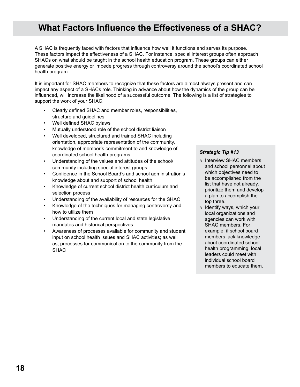## **What Factors Influence the Effectiveness of a SHAC?**

A SHAC is frequently faced with factors that influence how well it functions and serves its purpose. These factors impact the effectiveness of a SHAC. For instance, special interest groups often approach SHACs on what should be taught in the school health education program. These groups can either generate positive energy or impede progress through controversy around the school's coordinated school health program.

It is important for SHAC members to recognize that these factors are almost always present and can impact any aspect of a SHACs role. Thinking in advance about how the dynamics of the group can be influenced, will increase the likelihood of a successful outcome. The following is a list of strategies to support the work of your SHAC:

- Clearly defined SHAC and member roles, responsibilities, structure and guidelines
- Well defined SHAC bylaws
- Mutually understood role of the school district liaison
- Well developed, structured and trained SHAC including orientation, appropriate representation of the community, knowledge of member's commitment to and knowledge of coordinated school health programs
- Understanding of the values and attitudes of the school/ community including special interest groups
- Confidence in the School Board's and school administration's knowledge about and support of school health
- Knowledge of current school district health curriculum and selection process
- Understanding of the availability of resources for the SHAC
- Knowledge of the techniques for managing controversy and how to utilize them
- Understanding of the current local and state legislative mandates and historical perspectives
- Awareness of processes available for community and student input on school health issues and SHAC activities; as well as, processes for communication to the community from the SHAC

- √ Interview SHAC members and school personnel about which objectives need to be accomplished from the list that have not already, prioritize them and develop a plan to accomplish the top three.
- √ Identify ways, which your local organizations and agencies can work with SHAC members. For example, if school board members lack knowledge about coordinated school health programming, local leaders could meet with individual school board members to educate them.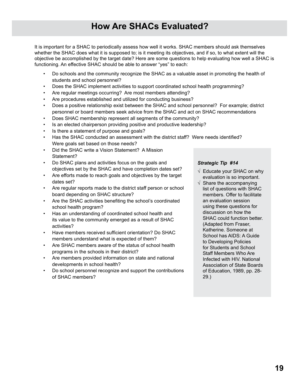It is important for a SHAC to periodically assess how well it works. SHAC members should ask themselves whether the SHAC does what it is supposed to; is it meeting its objectives, and if so, to what extent will the objective be accomplished by the target date? Here are some questions to help evaluating how well a SHAC is functioning. An effective SHAC should be able to answer "yes" to each:

- Do schools and the community recognize the SHAC as a valuable asset in promoting the health of students and school personnel?
- Does the SHAC implement activities to support coordinated school health programming?
- Are regular meetings occurring? Are most members attending?
- Are procedures established and utilized for conducting business?
- Does a positive relationship exist between the SHAC and school personnel? For example; district personnel or board members seek advice from the SHAC and act on SHAC recommendations
- Does SHAC membership represent all segments of the community?
- Is an elected chairperson providing positive and productive leadership?
- Is there a statement of purpose and goals?
- Has the SHAC conducted an assessment with the district staff? Were needs identified? Were goals set based on those needs?
- Did the SHAC write a Vision Statement? A Mission Statement?
- Do SHAC plans and activities focus on the goals and objectives set by the SHAC and have completion dates set?
- Are efforts made to reach goals and objectives by the target dates set?
- Are regular reports made to the district staff person or school board depending on SHAC structure?
- Are the SHAC activities benefiting the school's coordinated school health program?
- Has an understanding of coordinated school health and its value to the community emerged as a result of SHAC activities?
- Have members received sufficient orientation? Do SHAC members understand what is expected of them?
- Are SHAC members aware of the status of school health programs in the schools in their district?
- Are members provided information on state and national developments in school health?
- Do school personnel recognize and support the contributions of SHAC members?

- $\sqrt{ }$  Educate your SHAC on why evaluation is so important.
- $\sqrt{ }$  Share the accompanying list of questions with SHAC members. Offer to facilitate an evaluation session using these questions for discussion on how the SHAC could function better. (Adapted from Fraser, Katherine. Someone at School has AIDS: A Guide to Developing Policies for Students and School Staff Members Who Are Infected with HIV. National Association of State Boards of Education, 1989, pp. 28- 29.)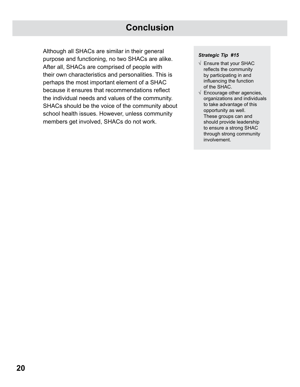## **Conclusion**

Although all SHACs are similar in their general purpose and functioning, no two SHACs are alike. After all, SHACs are comprised of people with their own characteristics and personalities. This is perhaps the most important element of a SHAC because it ensures that recommendations reflect the individual needs and values of the community. SHACs should be the voice of the community about school health issues. However, unless community members get involved, SHACs do not work.

- √ Ensure that your SHAC reflects the community by participating in and influencing the function of the SHAC.
- $\sqrt{\ }$  Encourage other agencies, organizations and individuals to take advantage of this opportunity as well. These groups can and should provide leadership to ensure a strong SHAC through strong community involvement.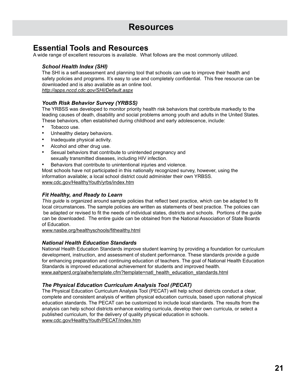### **Essential Tools and Resources**

A wide range of excellent resources is available. What follows are the most commonly utilized.

#### *School Health Index (SHI)*

The SHI is a self-assessment and planning tool that schools can use to improve their health and safety policies and programs. It's easy to use and completely confidential. This free resource can be downloaded and is also available as an online tool.

*http://apps.nccd.cdc.gov/SHI/Default.aspx*

#### *Youth Risk Behavior Survey (YRBSS)*

The YRBSS was developed to monitor priority health risk behaviors that contribute markedly to the leading causes of death, disability and social problems among youth and adults in the United States. These behaviors, often established during childhood and early adolescence, include:

- Tobacco use.
- Unhealthy dietary behaviors.
- Inadequate physical activity.
- Alcohol and other drug use.
- Sexual behaviors that contribute to unintended pregnancy and sexually transmitted diseases, including HIV infection.
- Behaviors that contribute to unintentional injuries and violence.

Most schools have not participated in this nationally recognized survey, however, using the information available; a local school district could administer their own YRBSS. www.cdc.gov/HealthyYouth/yrbs/index.htm

#### *Fit Healthy, and Ready to Learn*

*This guide* is organized around sample policies that reflect best practice, which can be adapted to fit local circumstances. The sample policies are written as statements of best practice. The policies can be adapted or revised to fit the needs of individual states, districts and schools. Portions of the guide can be downloaded. The entire guide can be obtained from the National Association of State Boards of Education.

www.nasbe.org/healthyschools/fithealthy.html

#### *National Health Education Standards*

National Health Education Standards improve student learning by providing a foundation for curriculum development, instruction, and assessment of student performance. These standards provide a guide for enhancing preparation and continuing education of teachers. The goal of National Health Education Standards is improved educational achievement for students and improved health. www.aahperd.org/aahe/template.cfm?template=natl\_health\_education\_standards.html

#### *The Physical Education Curriculum Analysis Tool (PECAT)*

The Physical Education Curriculum Analysis Tool (PECAT) will help school districts conduct a clear, complete and consistent analysis of written physical education curricula, based upon national physical education standards. The PECAT can be customized to include local standards. The results from the analysis can help school districts enhance existing curricula, develop their own curricula, or select a published curriculum, for the delivery of quality physical education in schools. www.cdc.gov/HealthyYouth/PECAT/index.htm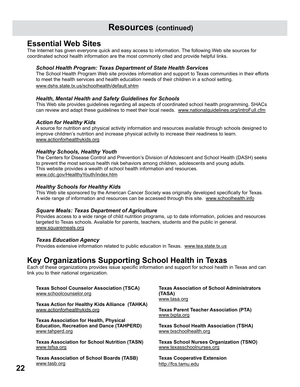## **Resources (continued)**

### **Essential Web Sites**

The Internet has given everyone quick and easy access to information. The following Web site sources for coordinated school health information are the most commonly cited and provide helpful links.

#### *School Health Program: Texas Department of State Health Services*

The School Health Program Web site provides information and support to Texas communities in their efforts to meet the health services and health education needs of their children in a school setting. www.dshs.state.tx.us/schoolhealth/default.shtm

#### *Health, Mental Health and Safety Guidelines for Schools*

This Web site provides guidelines regarding all aspects of coordinated school health programming. SHACs can review and adapt these guidelines to meet their local needs. www.nationalguidelines.org/introFull.cfm

#### *Action for Healthy Kids*

A source for nutrition and physical activity information and resources available through schools designed to improve children's nutrition and increase physical activity to increase their readiness to learn. www.actionforhealthykids.org

#### *Healthy Schools, Healthy Youth*

The Centers for Disease Control and Prevention's Division of Adolescent and School Health (DASH) seeks to prevent the most serious health risk behaviors among children, adolescents and young adults. This website provides a wealth of school health information and resources. www.cdc.gov/HealthyYouth/index.htm

#### *Healthy Schools for Healthy Kids*

This Web site sponsored by the American Cancer Society was originally developed specifically for Texas. A wide range of information and resources can be accessed through this site. www.schoolhealth.info

#### *Square Meals: Texas Department of Agriculture*

Provides access to a wide range of child nutrition programs, up to date information, policies and resources targeted to Texas schools. Available for parents, teachers, students and the public in general. www.squaremeals.org

#### *Texas Education Agency*

Provides extensive information related to public education in Texas. www.tea.state.tx.us

### **Key Organizations Supporting School Health in Texas**

Each of these organizations provides issue specific information and support for school health in Texas and can link you to their national organization.

**Texas School Counselor Association (TSCA)** www.schoolcounselor.org

**Texas Action for Healthy Kids Alliance (TAHKA)** www.actionforhealthykids.org

**Texas Association for Health, Physical Education, Recreation and Dance (TAHPERD)** www.tahperd.org

**Texas Association for School Nutrition (TASN)** www.tsfsa.org

**Texas Association of School Boards (TASB)** www.tasb.org

**Texas Association of School Administrators (TASA)** www.tasa.org

**Texas Parent Teacher Association (PTA)** www.txpta.org

**Texas School Health Association (TSHA)** www.txschoolhealth.org

**Texas School Nurses Organization (TSNO)** www.texasschoolnurses.org

**Texas Cooperative Extension** http://fcs.tamu.edu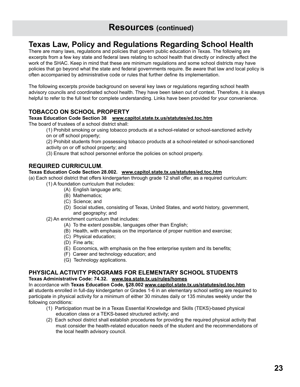## **Resources (continued)**

## **Texas Law, Policy and Regulations Regarding School Health**

There are many laws, regulations and policies that govern public education in Texas. The following are excerpts from a few key state and federal laws relating to school health that directly or indirectly affect the work of the SHAC. Keep in mind that these are minimum regulations and some school districts may have policies that go beyond what the state and federal governments require. Be aware that law and local policy is often accompanied by administrative code or rules that further define its implementation.

The following excerpts provide background on several key laws or regulations regarding school health advisory councils and coordinated school health. They have been taken out of context. Therefore, it is always helpful to refer to the full text for complete understanding. Links have been provided for your convenience.

#### **TOBACCO ON SCHOOL PROPERTY**

#### **Texas Education Code Section 38 www.capitol.state.tx.us/statutes/ed.toc.htm**

The board of trustees of a school district shall:

- (1) Prohibit smoking or using tobacco products at a school-related or school-sanctioned activity
- on or off school property;

(2) Prohibit students from possessing tobacco products at a school-related or school-sanctioned activity on or off school property; and

(3) Ensure that school personnel enforce the policies on school property.

#### **REQUIRED CURRICULUM.**

#### **Texas Education Code Section 28.002. www.capitol.state.tx.us/statutes/ed.toc.htm**

(a) Each school district that offers kindergarten through grade 12 shall offer, as a required curriculum:

- (1) A foundation curriculum that includes:
	- (A) English language arts;
	- (B) Mathematics;
	- (C) Science; and
	- (D) Social studies, consisting of Texas, United States, and world history, government, and geography; and
- (2) An enrichment curriculum that includes:
	- (A) To the extent possible, languages other than English;
	- (B) Health, with emphasis on the importance of proper nutrition and exercise;
	- (C) Physical education;
	- (D) Fine arts;
	- (E) Economics, with emphasis on the free enterprise system and its benefits;
	- (F) Career and technology education; and
	- (G) Technology applications.

#### **Physical Activity Programs for Elementary School Students**

#### **Texas Administrative Code: 74.32. www.tea.state.tx.us/rules/homes**

In accordance with **Texas Education Code, §28.002 www.capitol.state.tx.us/statutes/ed.toc.htm a**ll students enrolled in full-day kindergarten or Grades 1-6 in an elementary school setting are required to participate in physical activity for a minimum of either 30 minutes daily or 135 minutes weekly under the following conditions:

- (1) Participation must be in a Texas Essential Knowledge and Skills (TEKS)-based physical education class or a TEKS-based structured activity; and
- (2) Each school district shall establish procedures for providing the required physical activity that must consider the health-related education needs of the student and the recommendations of the local health advisory council.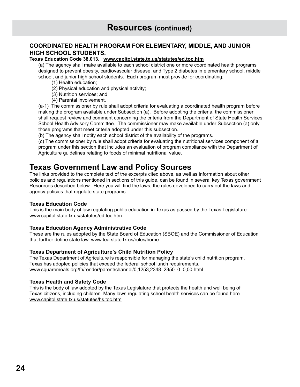#### **COORDINATED HEALTH PROGRAM FOR ELEMENTARY, MIDDLE, AND JUNIOR HIGH SCHOOL STUDENTS.**

#### **Texas Education Code 38.013. www.capitol.state.tx.us/statutes/ed.toc.htm**

(a) The agency shall make available to each school district one or more coordinated health programs designed to prevent obesity, cardiovascular disease, and Type 2 diabetes in elementary school, middle school, and junior high school students. Each program must provide for coordinating:

- (1) Health education;
- (2) Physical education and physical activity;
- (3) Nutrition services; and
- (4) Parental involvement.

(a-1) The commissioner by rule shall adopt criteria for evaluating a coordinated health program before making the program available under Subsection (a). Before adopting the criteria, the commissioner shall request review and comment concerning the criteria from the Department of State Health Services School Health Advisory Committee. The commissioner may make available under Subsection (a) only those programs that meet criteria adopted under this subsection.

(b) The agency shall notify each school district of the availability of the programs.

(c) The commissioner by rule shall adopt criteria for evaluating the nutritional services component of a program under this section that includes an evaluation of program compliance with the Department of Agriculture guidelines relating to foods of minimal nutritional value.

### **Texas Government Law and Policy Sources**

The links provided to the complete text of the excerpts cited above, as well as information about other policies and regulations mentioned in sections of this guide, can be found in several key Texas government Resources described below. Here you will find the laws, the rules developed to carry out the laws and agency policies that regulate state programs.

#### **Texas Education Code**

This is the main body of law regulating public education in Texas as passed by the Texas Legislature. www.capitol.state.tx.us/statutes/ed.toc.htm

#### **Texas Education Agency Administrative Code**

These are the rules adopted by the State Board of Education (SBOE) and the Commissioner of Education that further define state law. www.tea.state.tx.us/rules/home

#### **Texas Department of Agriculture's Child Nutrition Policy**

The Texas Department of Agriculture is responsible for managing the state's child nutrition program. Texas has adopted policies that exceed the federal school lunch requirements. www.squaremeals.org/fn/render/parent/channel/0,1253,2348\_2350\_0\_0,00.html

#### **Texas Health and Safety Code**

This is the body of law adopted by the Texas Legislature that protects the health and well being of Texas citizens, including children. Many laws regulating school health services can be found here. www.capitol.state.tx.us/statutes/hs.toc.htm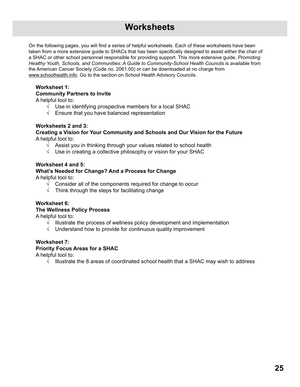## **Worksheets**

On the following pages, you will find a series of helpful worksheets. Each of these worksheets have been taken from a more extensive guide to SHACs that has been specifically designed to assist either the chair of a SHAC or other school personnel responsible for providing support. This more extensive guide, *Promoting Healthy Youth, Schools, and Communities: A Guide to Community-School Health Councils* is available from the American Cancer Society (Code no. 2061.00) or can be downloaded at no charge from www.schoolhealth.info. Go to the section on School Health Advisory Councils.

#### **Worksheet 1: Community Partners to Invite**

A helpful tool to:

- **√** Use in identifying prospective members for a local SHAC
- **√** Ensure that you have balanced representation

#### **Worksheets 2 and 3:**

#### **Creating a Vision for Your Community and Schools and Our Vision for the Future** A helpful tool to:

- **√** Assist you in thinking through your values related to school health
- **√** Use in creating a collective philosophy or vision for your SHAC

#### **Worksheet 4 and 5:**

### **What's Needed for Change? And a Process for Change**

A helpful tool to:

- **√** Consider all of the components required for change to occur
- **√** Think through the steps for facilitating change

#### **Worksheet 6:**

#### **The Wellness Policy Process**

A helpful tool to:

- **√** Illustrate the process of wellness policy development and implementation
- Understand how to provide for continuous quality improvement

#### **Worksheet 7:**

#### **Priority Focus Areas for a SHAC**

A helpful tool to:

**√** Illustrate the 8 areas of coordinated school health that a SHAC may wish to address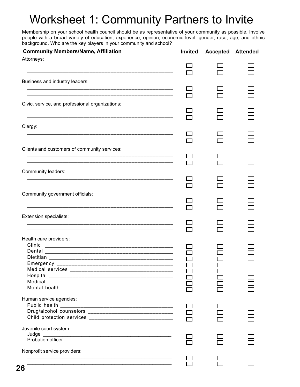## Worksheet 1: Community Partners to Invite

Membership on your school health council should be as representative of your community as possible. Involve people with a broad variety of education, experience, opinion, economic level, gender, race, age, and ethnic background. Who are the key players in your community and school?

| <b>Community Members/Name, Affiliation</b>                  | Invited | <b>Accepted Attended</b> |  |
|-------------------------------------------------------------|---------|--------------------------|--|
| Attorneys:                                                  |         |                          |  |
|                                                             |         |                          |  |
| Business and industry leaders:                              |         |                          |  |
|                                                             |         |                          |  |
|                                                             |         |                          |  |
| Civic, service, and professional organizations:             |         |                          |  |
|                                                             |         |                          |  |
|                                                             |         |                          |  |
| Clergy:                                                     |         |                          |  |
|                                                             |         |                          |  |
| Clients and customers of community services:                |         |                          |  |
|                                                             |         |                          |  |
|                                                             |         |                          |  |
| Community leaders:                                          |         |                          |  |
|                                                             |         |                          |  |
|                                                             |         |                          |  |
| Community government officials:                             |         |                          |  |
|                                                             |         |                          |  |
| <b>Extension specialists:</b>                               |         |                          |  |
|                                                             |         |                          |  |
|                                                             |         |                          |  |
| Health care providers:                                      |         |                          |  |
| Clinic                                                      |         |                          |  |
| Dental                                                      |         |                          |  |
|                                                             |         |                          |  |
|                                                             |         |                          |  |
|                                                             |         |                          |  |
|                                                             |         |                          |  |
|                                                             |         |                          |  |
| Human service agencies:                                     |         |                          |  |
|                                                             |         |                          |  |
| Drug/alcohol counselors ___________________________________ |         |                          |  |
|                                                             |         |                          |  |
| Juvenile court system:                                      |         |                          |  |
| Judge<br>Probation officer                                  |         |                          |  |
|                                                             |         |                          |  |
| Nonprofit service providers:                                |         |                          |  |
|                                                             |         |                          |  |
|                                                             |         |                          |  |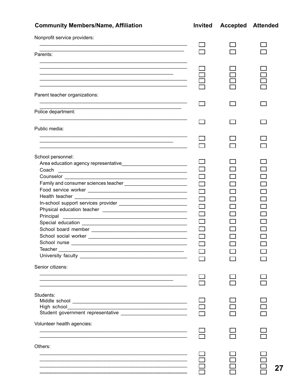| <b>Community Members/Name, Affiliation</b>                                                                                    | <b>Invited</b> | <b>Accepted Attended</b> |  |
|-------------------------------------------------------------------------------------------------------------------------------|----------------|--------------------------|--|
| Nonprofit service providers:                                                                                                  |                |                          |  |
|                                                                                                                               |                |                          |  |
| Parents:                                                                                                                      |                |                          |  |
|                                                                                                                               |                |                          |  |
| <u> 1989 - Johann Stoff, deutscher Stoff, der Stoff, der Stoff, der Stoff, der Stoff, der Stoff, der Stoff, der S</u>         |                |                          |  |
|                                                                                                                               |                |                          |  |
|                                                                                                                               |                |                          |  |
| <u> 1999 - 1999 - 1999 - 1999 - 1999 - 1999 - 1999 - 1999 - 1999 - 1999 - 1999 - 1999 - 1999 - 1999 - 1999 - 19</u>           |                |                          |  |
| Parent teacher organizations:                                                                                                 |                |                          |  |
|                                                                                                                               |                |                          |  |
|                                                                                                                               |                |                          |  |
| Police department:                                                                                                            |                |                          |  |
|                                                                                                                               |                |                          |  |
| Public media:                                                                                                                 |                |                          |  |
|                                                                                                                               |                |                          |  |
|                                                                                                                               |                |                          |  |
|                                                                                                                               |                |                          |  |
| School personnel:                                                                                                             |                |                          |  |
|                                                                                                                               |                |                          |  |
| Coach<br><u> 1989 - Johann John Barn, mars ann an t-Amhraid ann an t-Amhraid ann an t-Amhraid ann an t-Amhraid ann an t-A</u> |                |                          |  |
|                                                                                                                               |                |                          |  |
|                                                                                                                               |                |                          |  |
|                                                                                                                               |                |                          |  |
|                                                                                                                               |                |                          |  |
|                                                                                                                               |                |                          |  |
|                                                                                                                               |                |                          |  |
| Principal                                                                                                                     |                |                          |  |
|                                                                                                                               |                |                          |  |
|                                                                                                                               |                |                          |  |
| School social worker                                                                                                          |                |                          |  |
|                                                                                                                               |                |                          |  |
| Teacher                                                                                                                       |                |                          |  |
|                                                                                                                               |                |                          |  |
|                                                                                                                               |                |                          |  |
| Senior citizens:                                                                                                              |                |                          |  |
|                                                                                                                               |                |                          |  |
|                                                                                                                               |                |                          |  |
|                                                                                                                               |                |                          |  |
| Students:                                                                                                                     |                |                          |  |
|                                                                                                                               |                |                          |  |
|                                                                                                                               |                |                          |  |
|                                                                                                                               |                |                          |  |
|                                                                                                                               |                |                          |  |
| Volunteer health agencies:                                                                                                    |                |                          |  |
|                                                                                                                               |                |                          |  |
|                                                                                                                               |                |                          |  |
| Others:                                                                                                                       |                |                          |  |
|                                                                                                                               |                |                          |  |
|                                                                                                                               |                |                          |  |
|                                                                                                                               |                |                          |  |
|                                                                                                                               |                |                          |  |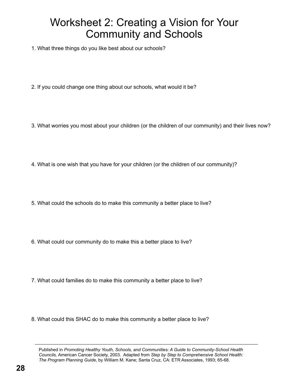## Worksheet 2: Creating a Vision for Your Community and Schools

1. What three things do you like best about our schools?

- 2. If you could change one thing about our schools, what would it be?
- 3. What worries you most about your children (or the children of our community) and their lives now?
- 4. What is one wish that you have for your children (or the children of our community)?
- 5. What could the schools do to make this community a better place to live?
- 6. What could our community do to make this a better place to live?
- 7. What could families do to make this community a better place to live?
- 8. What could this SHAC do to make this community a better place to live?

 $\mathcal{L}_\mathcal{L} = \mathcal{L}_\mathcal{L} = \mathcal{L}_\mathcal{L} = \mathcal{L}_\mathcal{L} = \mathcal{L}_\mathcal{L} = \mathcal{L}_\mathcal{L} = \mathcal{L}_\mathcal{L} = \mathcal{L}_\mathcal{L} = \mathcal{L}_\mathcal{L} = \mathcal{L}_\mathcal{L} = \mathcal{L}_\mathcal{L} = \mathcal{L}_\mathcal{L} = \mathcal{L}_\mathcal{L} = \mathcal{L}_\mathcal{L} = \mathcal{L}_\mathcal{L} = \mathcal{L}_\mathcal{L} = \mathcal{L}_\mathcal{L}$ 

Published in *Promoting Healthy Youth, Schools, and Communities: A Guide to Community-School Health Councils,* American Cancer Society, 2003. Adapted from *Step by Step to Comprehensive School Health: The Program Planning Guide*, by William M. Kane; Santa Cruz, CA: ETR Associates, 1993; 65-68.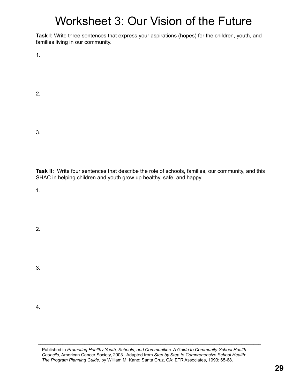## Worksheet 3: Our Vision of the Future

**Task I:** Write three sentences that express your aspirations (hopes) for the children, youth, and families living in our community.

1.

2.

3.

**Task II:** Write four sentences that describe the role of schools, families, our community, and this SHAC in helping children and youth grow up healthy, safe, and happy.

1.

2.

3.

4.

Published in *Promoting Healthy Youth, Schools, and Communities: A Guide to Community-School Health Councils,* American Cancer Society, 2003. Adapted from *Step by Step to Comprehensive School Health: The Program Planning Guide*, by William M. Kane; Santa Cruz, CA: ETR Associates, 1993; 65-68.

 $\mathcal{L}_\mathcal{L} = \mathcal{L}_\mathcal{L} = \mathcal{L}_\mathcal{L} = \mathcal{L}_\mathcal{L} = \mathcal{L}_\mathcal{L} = \mathcal{L}_\mathcal{L} = \mathcal{L}_\mathcal{L} = \mathcal{L}_\mathcal{L} = \mathcal{L}_\mathcal{L} = \mathcal{L}_\mathcal{L} = \mathcal{L}_\mathcal{L} = \mathcal{L}_\mathcal{L} = \mathcal{L}_\mathcal{L} = \mathcal{L}_\mathcal{L} = \mathcal{L}_\mathcal{L} = \mathcal{L}_\mathcal{L} = \mathcal{L}_\mathcal{L}$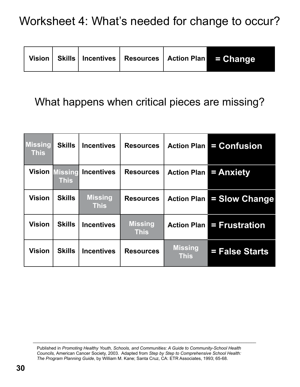|  |  |  |  |  | Vision Skills   Incentives   Resources   Action Plan $\blacksquare = \textbf{Change}/\textbf{C}$ |
|--|--|--|--|--|--------------------------------------------------------------------------------------------------|
|--|--|--|--|--|--------------------------------------------------------------------------------------------------|

## What happens when critical pieces are missing?

| <b>Missing</b><br><b>This</b> | <b>Skills</b>                 | <b>Incentives</b>             | <b>Resources</b>              | <b>Action Plan</b>            | = Confusion           |
|-------------------------------|-------------------------------|-------------------------------|-------------------------------|-------------------------------|-----------------------|
| <b>Vision</b>                 | <b>Missing</b><br><b>This</b> | <b>Incentives</b>             | <b>Resources</b>              | <b>Action Plan</b>            | = Anxiety             |
| <b>Vision</b>                 | <b>Skills</b>                 | <b>Missing</b><br><b>This</b> | <b>Resources</b>              | <b>Action Plan</b>            | <b>= Slow Change</b>  |
| <b>Vision</b>                 | <b>Skills</b>                 | <b>Incentives</b>             | <b>Missing</b><br><b>This</b> | <b>Action Plan</b>            | <b>= Frustration</b>  |
| <b>Vision</b>                 | <b>Skills</b>                 | <b>Incentives</b>             | <b>Resources</b>              | <b>Missing</b><br><b>This</b> | <b>= False Starts</b> |

 $\_$  , and the set of the set of the set of the set of the set of the set of the set of the set of the set of the set of the set of the set of the set of the set of the set of the set of the set of the set of the set of th

Published in *Promoting Healthy Youth, Schools, and Communities: A Guide to Community-School Health Councils,* American Cancer Society, 2003. Adapted from *Step by Step to Comprehensive School Health: The Program Planning Guide*, by William M. Kane; Santa Cruz, CA: ETR Associates, 1993; 65-68.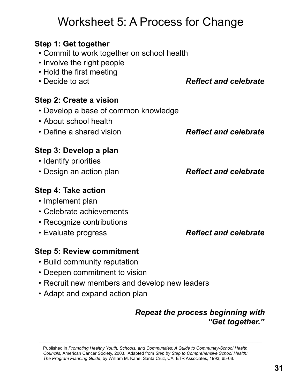## Published in *Promoting Healthy Youth, Schools, and Communities: A Guide to Community-School Health Councils,* American Cancer Society, 2003. Adapted from *Step by Step to Comprehensive School Health: The Program Planning Guide*, by William M. Kane; Santa Cruz, CA: ETR Associates, 1993; 65-68.

## Worksheet 5: A Process for Change

## **Step 1: Get together**

- Commit to work together on school health
- Involve the right people
- Hold the first meeting
- 

## **Step 2: Create a vision**

- Develop a base of common knowledge
- About school health
- Define a shared vision *Reflect and celebrate*

## **Step 3: Develop a plan**

- Identify priorities
- Design an action plan *Reflect and celebrate*

## **Step 4: Take action**

- Implement plan
- Celebrate achievements
- Recognize contributions
- 

## **Step 5: Review commitment**

- Build community reputation
- Deepen commitment to vision
- Recruit new members and develop new leaders

 $\mathcal{L}_\mathcal{L} = \mathcal{L}_\mathcal{L} = \mathcal{L}_\mathcal{L} = \mathcal{L}_\mathcal{L} = \mathcal{L}_\mathcal{L} = \mathcal{L}_\mathcal{L} = \mathcal{L}_\mathcal{L} = \mathcal{L}_\mathcal{L} = \mathcal{L}_\mathcal{L} = \mathcal{L}_\mathcal{L} = \mathcal{L}_\mathcal{L} = \mathcal{L}_\mathcal{L} = \mathcal{L}_\mathcal{L} = \mathcal{L}_\mathcal{L} = \mathcal{L}_\mathcal{L} = \mathcal{L}_\mathcal{L} = \mathcal{L}_\mathcal{L}$ 

• Adapt and expand action plan

## *Repeat the process beginning with "Get together."*

• Evaluate progress *Reflect and celebrate* 

• Decide to act *Reflect and celebrate*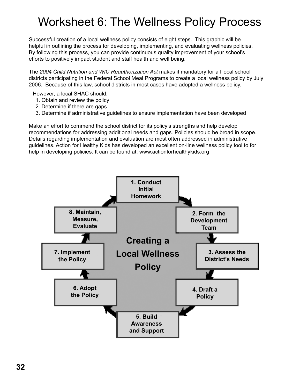## Worksheet 6: The Wellness Policy Process

Successful creation of a local wellness policy consists of eight steps. This graphic will be helpful in outlining the process for developing, implementing, and evaluating wellness policies. By following this process, you can provide continuous quality improvement of your school's efforts to positively impact student and staff health and well being.

The *2004 Child Nutrition and WIC Reauthorization Act* makes it mandatory for all local school districts participating in the Federal School Meal Programs to create a local wellness policy by July 2006. Because of this law, school districts in most cases have adopted a wellness policy.

However, a local SHAC should:

- 1. Obtain and review the policy
- 2. Determine if there are gaps
- 3. Determine if administrative guidelines to ensure implementation have been developed

Make an effort to commend the school district for its policy's strengths and help develop recommendations for addressing additional needs and gaps. Policies should be broad in scope. Details regarding implementation and evaluation are most often addressed in administrative guidelines. Action for Healthy Kids has developed an excellent on-line wellness policy tool to for help in developing policies. It can be found at: www.actionforhealthykids.org

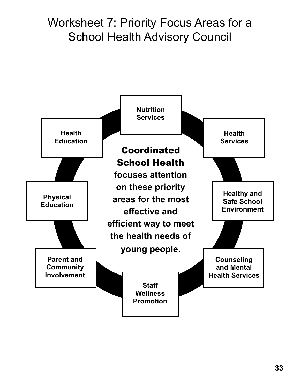## Worksheet 7: Priority Focus Areas for a School Health Advisory Council